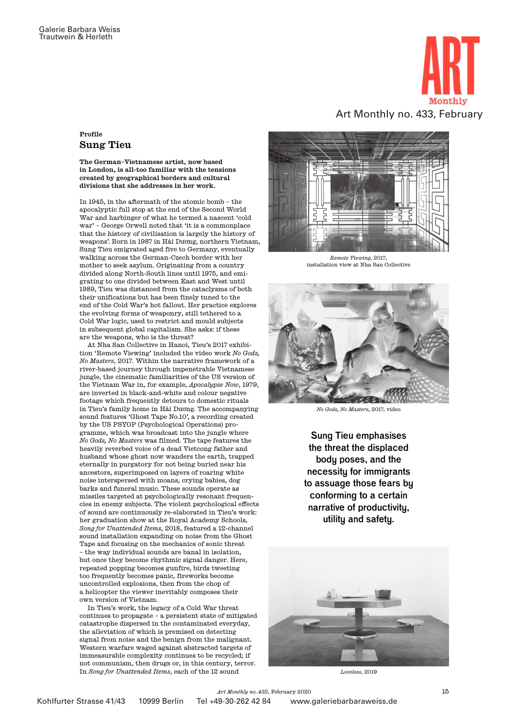

## Profile Sung Tieu

The German–Vietnamese artist, now based in London, is all-too familiar with the tensions created by geographical borders and cultural divisions that she addresses in her work.

In 1945, in the aftermath of the atomic bomb – the apocalyptic full stop at the end of the Second World War and harbinger of what he termed a nascent 'cold war' – George Orwell noted that 'it is a commonplace that the history of civilisation is largely the history of weapons'. Born in 1987 in Hải Dương, northern Vietnam, Sung Tieu emigrated aged five to Germany, eventually walking across the German-Czech border with her mother to seek asylum. Originating from a country divided along North-South lines until 1975, and emigrating to one divided between East and West until 1989, Tieu was distanced from the cataclysms of both their unifications but has been finely tuned to the end of the Cold War's hot fallout. Her practice explores the evolving forms of weaponry, still tethered to a Cold War logic, used to restrict and mould subjects in subsequent global capitalism. She asks: if these are the weapons, who is the threat?

At Nha San Collective in Hanoi, Tieu's 2017 exhibition 'Remote Viewing' included the video work *No Gods, No Masters*, 2017. Within the narrative framework of a river-based journey through impenetrable Vietnamese jungle, the cinematic familiarities of the US version of the Vietnam War in, for example, *Apocalypse Now*, 1979, are inverted in black-and-white and colour negative footage which frequently detours to domestic rituals in Tieu's family home in Hải Dương. The accompanying sound features 'Ghost Tape No.10', a recording created by the US PSYOP (Psychological Operations) programme, which was broadcast into the jungle where *No Gods, No Masters* was filmed. The tape features the heavily reverbed voice of a dead Vietcong father and husband whose ghost now wanders the earth, trapped eternally in purgatory for not being buried near his ancestors, superimposed on layers of roaring white noise interspersed with moans, crying babies, dog barks and funeral music. These sounds operate as missiles targeted at psychologically resonant frequencies in enemy subjects. The violent psychological effects of sound are continuously re-elaborated in Tieu's work: her graduation show at the Royal Academy Schools, *Song for Unattended Items*, 2018, featured a 12-channel sound installation expanding on noise from the Ghost Tape and focusing on the mechanics of sonic threat – the way individual sounds are banal in isolation, but once they become rhythmic signal danger. Here, repeated popping becomes gunfire, birds tweeting too frequently becomes panic, fireworks become uncontrolled explosions, then from the chop of a helicopter the viewer inevitably composes their own version of Vietnam.

In Tieu's work, the legacy of a Cold War threat continues to propagate – a persistent state of mitigated catastrophe dispersed in the contaminated everyday, the alleviation of which is premised on detecting signal from noise and the benign from the malignant. Western warfare waged against abstracted targets of immeasurable complexity continues to be recycled; if not communism, then drugs or, in this century, terror. In *Song for Unattended Items*, each of the 12 sound

*Remote Viewing*, 2017, installation view at Nha San Collective



*No Gods, No Masters*, 2017, video

Sung Tieu emphasises the threat the displaced body poses, and the necessity for immigrants to assuage those fears by conforming to a certain narrative of productivity, utility and safety.



*Loveless*, 2019